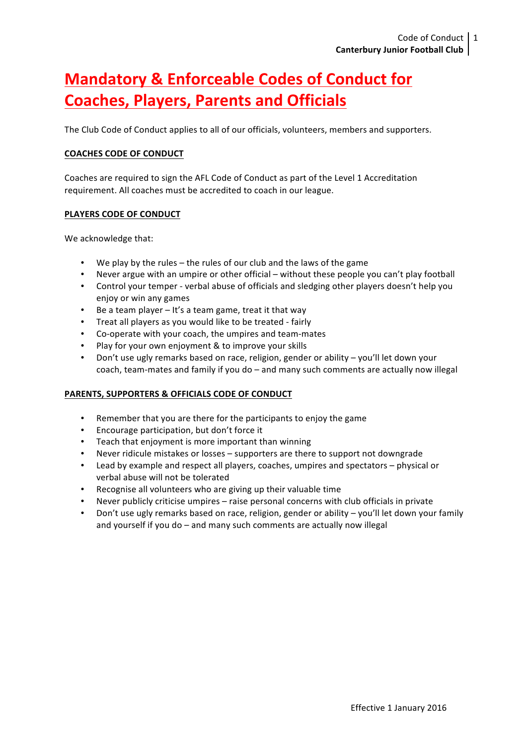# **Mandatory & Enforceable Codes of Conduct for Coaches, Players, Parents and Officials**

The Club Code of Conduct applies to all of our officials, volunteers, members and supporters.

### **COACHES CODE OF CONDUCT**

Coaches are required to sign the AFL Code of Conduct as part of the Level 1 Accreditation requirement. All coaches must be accredited to coach in our league.

### **PLAYERS CODE OF CONDUCT**

We acknowledge that:

- We play by the rules  $-$  the rules of our club and the laws of the game
- Never argue with an umpire or other official without these people you can't play football
- Control your temper verbal abuse of officials and sledging other players doesn't help you enjoy or win any games
- Be a team player  $-$  It's a team game, treat it that way
- Treat all players as you would like to be treated fairly
- Co-operate with your coach, the umpires and team-mates
- Play for your own enjoyment & to improve your skills
- Don't use ugly remarks based on race, religion, gender or ability you'll let down your coach, team-mates and family if you do – and many such comments are actually now illegal

### **PARENTS, SUPPORTERS & OFFICIALS CODE OF CONDUCT**

- Remember that you are there for the participants to enjoy the game
- Encourage participation, but don't force it
- Teach that enjoyment is more important than winning
- Never ridicule mistakes or losses supporters are there to support not downgrade
- Lead by example and respect all players, coaches, umpires and spectators physical or verbal abuse will not be tolerated
- Recognise all volunteers who are giving up their valuable time
- Never publicly criticise umpires  $-$  raise personal concerns with club officials in private
- Don't use ugly remarks based on race, religion, gender or ability you'll let down your family and yourself if you do  $-$  and many such comments are actually now illegal